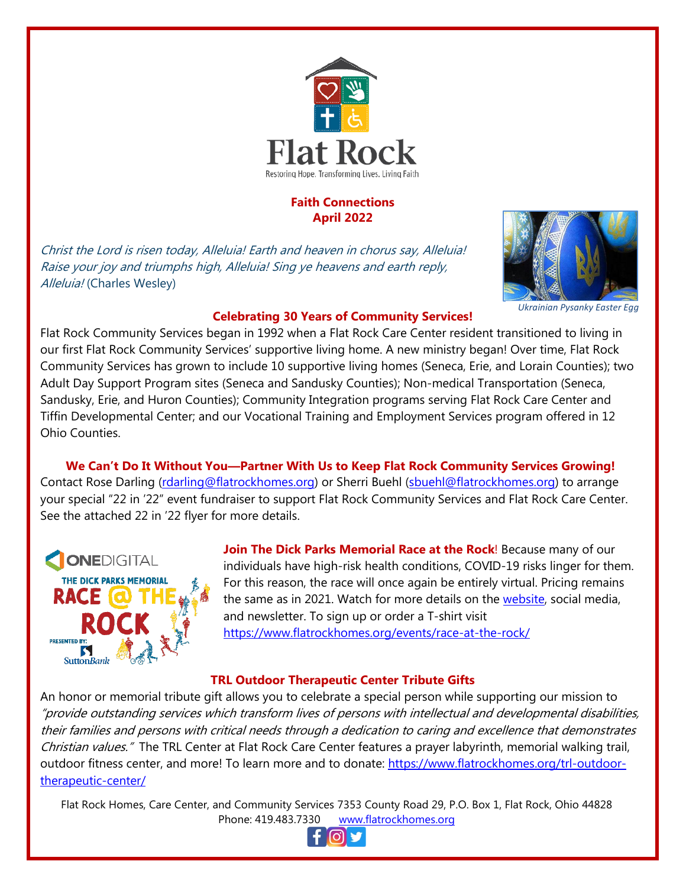

### **Faith Connections April 2022**

Christ the Lord is risen today, Alleluia! Earth and heaven in chorus say, Alleluia! Raise your joy and triumphs high, Alleluia! Sing ye heavens and earth reply, Alleluia! (Charles Wesley)



*Ukrainian Pysanky Easter Egg*

## **Celebrating 30 Years of Community Services!**

Flat Rock Community Services began in 1992 when a Flat Rock Care Center resident transitioned to living in our first Flat Rock Community Services' supportive living home. A new ministry began! Over time, Flat Rock Community Services has grown to include 10 supportive living homes (Seneca, Erie, and Lorain Counties); two Adult Day Support Program sites (Seneca and Sandusky Counties); Non-medical Transportation (Seneca, Sandusky, Erie, and Huron Counties); Community Integration programs serving Flat Rock Care Center and Tiffin Developmental Center; and our Vocational Training and Employment Services program offered in 12 Ohio Counties.

**We Can't Do It Without You—Partner With Us to Keep Flat Rock Community Services Growing!** Contact Rose Darling [\(rdarling@flatrockhomes.org\)](mailto:rdarling@flatrockhomes.org) or Sherri Buehl [\(sbuehl@flatrockhomes.org\)](mailto:sbuehl@flatrockhomes.org) to arrange your special "22 in '22" event fundraiser to support Flat Rock Community Services and Flat Rock Care Center. See the attached 22 in '22 flyer for more details.



**Join The Dick Parks Memorial Race at the Rock**! Because many of our individuals have high-risk health conditions, COVID-19 risks linger for them. For this reason, the race will once again be entirely virtual. Pricing remains the same as in 2021. Watch for more details on the [website,](http://www.flatrockhomes.org/) social media, and newsletter. To sign up or order a T-shirt visit <https://www.flatrockhomes.org/events/race-at-the-rock/>

# **TRL Outdoor Therapeutic Center Tribute Gifts**

An honor or memorial tribute gift allows you to celebrate a special person while supporting our mission to "provide outstanding services which transform lives of persons with intellectual and developmental disabilities, their families and persons with critical needs through a dedication to caring and excellence that demonstrates Christian values." The TRL Center at Flat Rock Care Center features a prayer labyrinth, memorial walking trail, outdoor fitness center, and more! To learn more and to donate: [https://www.flatrockhomes.org/trl-outdoor](https://www.flatrockhomes.org/trl-outdoor-therapeutic-center/)[therapeutic-center/](https://www.flatrockhomes.org/trl-outdoor-therapeutic-center/)

Flat Rock Homes, Care Center, and Community Services 7353 County Road 29, P.O. Box 1, Flat Rock, Ohio 44828 Phone: 419.483.7330 [www.flatrockhomes.org](http://www.flatrockhomes.org/)